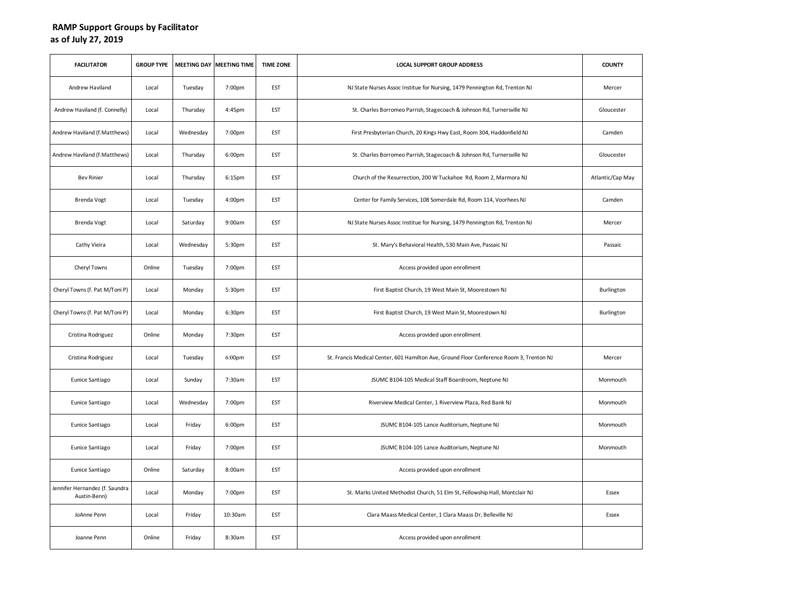## **RAMP Support Groups by Facilitator as of July 27, 2019**

| <b>FACILITATOR</b>                             | <b>GROUP TYPE</b> |           | MEETING DAY MEETING TIME | <b>TIME ZONE</b> | <b>LOCAL SUPPORT GROUP ADDRESS</b>                                                       | <b>COUNTY</b>    |
|------------------------------------------------|-------------------|-----------|--------------------------|------------------|------------------------------------------------------------------------------------------|------------------|
| Andrew Haviland                                | Local             | Tuesday   | 7:00pm                   | <b>EST</b>       | NJ State Nurses Assoc Institue for Nursing, 1479 Pennington Rd, Trenton NJ               | Mercer           |
| Andrew Haviland (f. Connelly)                  | Local             | Thursday  | 4:45pm                   | EST              | St. Charles Borromeo Parrish, Stagecoach & Johnson Rd, Turnersville NJ                   | Gloucester       |
| Andrew Haviland (f. Matthews)                  | Local             | Wednesday | 7:00pm                   | <b>EST</b>       | First Presbyterian Church, 20 Kings Hwy East, Room 304, Haddonfield NJ                   | Camden           |
| Andrew Haviland (f.Matthews)                   | Local             | Thursday  | 6:00pm                   | EST              | St. Charles Borromeo Parrish, Stagecoach & Johnson Rd, Turnersville NJ                   | Gloucester       |
| <b>Bev Rinier</b>                              | Local             | Thursday  | 6:15pm                   | EST              | Church of the Resurrection, 200 W Tuckahoe Rd, Room 2, Marmora NJ                        | Atlantic/Cap May |
| Brenda Vogt                                    | Local             | Tuesday   | 4:00pm                   | <b>EST</b>       | Center for Family Services, 108 Somerdale Rd, Room 114, Voorhees NJ                      | Camden           |
| Brenda Vogt                                    | Local             | Saturday  | 9:00am                   | EST              | NJ State Nurses Assoc Institue for Nursing, 1479 Pennington Rd, Trenton NJ               | Mercer           |
| Cathy Vieira                                   | Local             | Wednesday | 5:30pm                   | <b>EST</b>       | St. Mary's Behavioral Health, 530 Main Ave, Passaic NJ                                   | Passaic          |
| Cheryl Towns                                   | Online            | Tuesday   | 7:00pm                   | EST              | Access provided upon enrollment                                                          |                  |
| Cheryl Towns (f. Pat M/Toni P)                 | Local             | Monday    | 5:30pm                   | EST              | First Baptist Church, 19 West Main St, Moorestown NJ                                     | Burlington       |
| Cheryl Towns (f. Pat M/Toni P)                 | Local             | Monday    | 6:30pm                   | <b>EST</b>       | First Baptist Church, 19 West Main St, Moorestown NJ                                     | Burlington       |
| Cristina Rodriguez                             | Online            | Monday    | 7:30pm                   | EST              | Access provided upon enrollment                                                          |                  |
| Cristina Rodriguez                             | Local             | Tuesday   | 6:00pm                   | <b>EST</b>       | St. Francis Medical Center, 601 Hamilton Ave, Ground Floor Conference Room 3, Trenton NJ | Mercer           |
| Eunice Santiago                                | Local             | Sunday    | 7:30am                   | EST              | JSUMC B104-105 Medical Staff Boardroom, Neptune NJ                                       | Monmouth         |
| Eunice Santiago                                | Local             | Wednesday | 7:00pm                   | EST              | Riverview Medical Center, 1 Riverview Plaza, Red Bank NJ                                 | Monmouth         |
| Eunice Santiago                                | Local             | Friday    | 6:00pm                   | <b>EST</b>       | JSUMC B104-105 Lance Auditorium, Neptune NJ                                              | Monmouth         |
| Eunice Santiago                                | Local             | Friday    | 7:00pm                   | EST              | JSUMC B104-105 Lance Auditorium, Neptune NJ                                              | Monmouth         |
| Eunice Santiago                                | Online            | Saturday  | 8:00am                   | <b>EST</b>       | Access provided upon enrollment                                                          |                  |
| Jennifer Hernandez (f. Saundra<br>Austin-Benn) | Local             | Monday    | 7:00pm                   | EST              | St. Marks United Methodist Church, 51 Elm St, Fellowship Hall, Montclair NJ              | Essex            |
| JoAnne Penn                                    | Local             | Friday    | 10:30am                  | EST              | Clara Maass Medical Center, 1 Clara Maass Dr, Belleville NJ                              | Essex            |
| Joanne Penn                                    | Online            | Friday    | 8:30am                   | <b>EST</b>       | Access provided upon enrollment                                                          |                  |